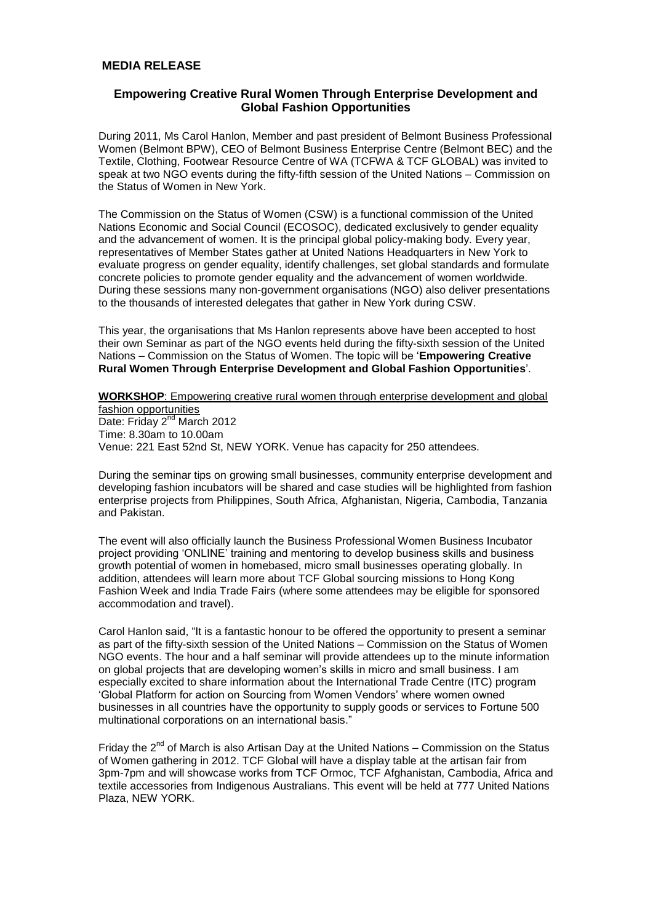# **MEDIA RELEASE**

# **Empowering Creative Rural Women Through Enterprise Development and Global Fashion Opportunities**

During 2011, Ms Carol Hanlon, Member and past president of Belmont Business Professional Women (Belmont BPW), CEO of Belmont Business Enterprise Centre (Belmont BEC) and the Textile, Clothing, Footwear Resource Centre of WA (TCFWA & TCF GLOBAL) was invited to speak at two NGO events during the fifty-fifth session of the United Nations – Commission on the Status of Women in New York.

The Commission on the Status of Women (CSW) is a functional commission of the United Nations Economic and Social Council (ECOSOC), dedicated exclusively to gender equality and the advancement of women. It is the principal global policy-making body. Every year, representatives of Member States gather at United Nations Headquarters in New York to evaluate progress on gender equality, identify challenges, set global standards and formulate concrete policies to promote gender equality and the advancement of women worldwide. During these sessions many non-government organisations (NGO) also deliver presentations to the thousands of interested delegates that gather in New York during CSW.

This year, the organisations that Ms Hanlon represents above have been accepted to host their own Seminar as part of the NGO events held during the fifty-sixth session of the United Nations – Commission on the Status of Women. The topic will be '**Empowering Creative Rural Women Through Enterprise Development and Global Fashion Opportunities**'.

### **WORKSHOP**: Empowering creative rural women through enterprise development and global fashion opportunities

Date: Friday 2<sup>nd</sup> March 2012 Time: 8.30am to 10.00am Venue: 221 East 52nd St, NEW YORK. Venue has capacity for 250 attendees.

During the seminar tips on growing small businesses, community enterprise development and developing fashion incubators will be shared and case studies will be highlighted from fashion enterprise projects from Philippines, South Africa, Afghanistan, Nigeria, Cambodia, Tanzania and Pakistan.

The event will also officially launch the Business Professional Women Business Incubator project providing 'ONLINE' training and mentoring to develop business skills and business growth potential of women in homebased, micro small businesses operating globally. In addition, attendees will learn more about TCF Global sourcing missions to Hong Kong Fashion Week and India Trade Fairs (where some attendees may be eligible for sponsored accommodation and travel).

Carol Hanlon said, "It is a fantastic honour to be offered the opportunity to present a seminar as part of the fifty-sixth session of the United Nations – Commission on the Status of Women NGO events. The hour and a half seminar will provide attendees up to the minute information on global projects that are developing women's skills in micro and small business. I am especially excited to share information about the International Trade Centre (ITC) program 'Global Platform for action on Sourcing from Women Vendors' where women owned businesses in all countries have the opportunity to supply goods or services to Fortune 500 multinational corporations on an international basis."

Friday the  $2^{nd}$  of March is also Artisan Day at the United Nations – Commission on the Status of Women gathering in 2012. TCF Global will have a display table at the artisan fair from 3pm-7pm and will showcase works from TCF Ormoc, TCF Afghanistan, Cambodia, Africa and textile accessories from Indigenous Australians. This event will be held at 777 United Nations Plaza, NEW YORK.